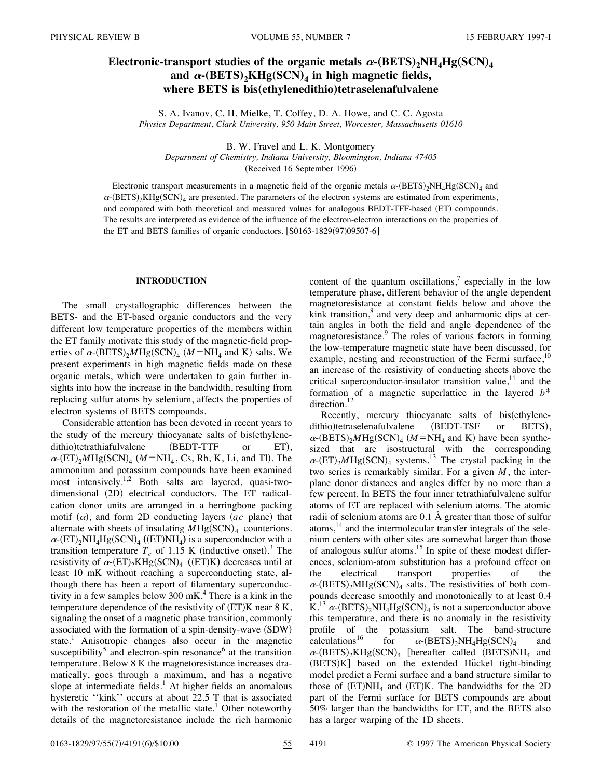# **Electronic-transport studies of the organic metals**  $\alpha$ **-** $(BETS)$ **<sub>2</sub>** $NH_4Hg(SCN)_4$ and  $\alpha$ - $(BETS)_{2}KHg(SCN)_{4}$  in high magnetic fields, where **BETS** is bis(ethylenedithio)tetraselenafulvalene

S. A. Ivanov, C. H. Mielke, T. Coffey, D. A. Howe, and C. C. Agosta *Physics Department, Clark University, 950 Main Street, Worcester, Massachusetts 01610*

B. W. Fravel and L. K. Montgomery

*Department of Chemistry, Indiana University, Bloomington, Indiana 47405* (Received 16 September 1996)

Electronic transport measurements in a magnetic field of the organic metals  $\alpha$ -(BETS)<sub>2</sub>NH<sub>4</sub>Hg(SCN)<sub>4</sub> and  $\alpha$ - $(BETS)_2KHg(SCN)_4$  are presented. The parameters of the electron systems are estimated from experiments, and compared with both theoretical and measured values for analogous BEDT-TFF-based (ET) compounds. The results are interpreted as evidence of the influence of the electron-electron interactions on the properties of the ET and BETS families of organic conductors.  $[$0163-1829(97)09507-6]$ 

# **INTRODUCTION**

The small crystallographic differences between the BETS- and the ET-based organic conductors and the very different low temperature properties of the members within the ET family motivate this study of the magnetic-field properties of  $\alpha$ -(BETS)<sub>2</sub>*M*Hg(SCN)<sub>4</sub> (*M* = NH<sub>4</sub> and K) salts. We present experiments in high magnetic fields made on these organic metals, which were undertaken to gain further insights into how the increase in the bandwidth, resulting from replacing sulfur atoms by selenium, affects the properties of electron systems of BETS compounds.

Considerable attention has been devoted in recent years to the study of the mercury thiocyanate salts of bis(ethylenedithio)tetrathiafulvalene (BEDT-TTF or ET),  $\alpha$ -(ET)<sub>2</sub>*M*Hg(SCN)<sub>4</sub> (*M* = NH<sub>4</sub>, Cs, Rb, K, Li, and Tl). The ammonium and potassium compounds have been examined most intensively.1,2 Both salts are layered, quasi-twodimensional (2D) electrical conductors. The ET radicalcation donor units are arranged in a herringbone packing motif  $(\alpha)$ , and form 2D conducting layers  $(ac$  plane) that alternate with sheets of insulating  $MHg(SCN)<sub>4</sub>$  counterions.  $\alpha$ -(ET)<sub>2</sub>NH<sub>4</sub>Hg(SCN)<sub>4</sub> ((ET)NH<sub>4</sub>) is a superconductor with a transition temperature  $T_c$  of 1.15 K (inductive onset).<sup>3</sup> The resistivity of  $\alpha$ -(ET)<sub>2</sub>KHg(SCN)<sub>4</sub> ((ET)K) decreases until at least 10 mK without reaching a superconducting state, although there has been a report of filamentary superconductivity in a few samples below  $300 \text{ mK}$ .<sup>4</sup> There is a kink in the temperature dependence of the resistivity of  $(ET)K$  near 8 K, signaling the onset of a magnetic phase transition, commonly associated with the formation of a spin-density-wave  $(SDW)$ state.<sup>1</sup> Anisotropic changes also occur in the magnetic susceptibility<sup>5</sup> and electron-spin resonance<sup>6</sup> at the transition temperature. Below 8 K the magnetoresistance increases dramatically, goes through a maximum, and has a negative slope at intermediate fields.<sup>1</sup> At higher fields an anomalous hysteretic "kink" occurs at about 22.5 T that is associated with the restoration of the metallic state.<sup>1</sup> Other noteworthy details of the magnetoresistance include the rich harmonic content of the quantum oscillations, $\frac{7}{1}$  especially in the low temperature phase, different behavior of the angle dependent magnetoresistance at constant fields below and above the kink transition, $\delta$  and very deep and anharmonic dips at certain angles in both the field and angle dependence of the magnetoresistance.9 The roles of various factors in forming the low-temperature magnetic state have been discussed, for example, nesting and reconstruction of the Fermi surface, $10$ an increase of the resistivity of conducting sheets above the critical superconductor-insulator transition value,<sup>11</sup> and the formation of a magnetic superlattice in the layered *b*\* direction.<sup>12</sup>

Recently, mercury thiocyanate salts of bis(ethylenedithio)tetraselenafulvalene (BEDT-TSF or BETS),  $\alpha$ -(BETS)<sub>2</sub>*M*Hg(SCN)<sub>4</sub> (*M* = NH<sub>4</sub> and K) have been synthesized that are isostructural with the corresponding  $\alpha$ -(ET)<sub>2</sub>*M*Hg(SCN)<sub>4</sub> systems.<sup>13</sup> The crystal packing in the two series is remarkably similar. For a given *M*, the interplane donor distances and angles differ by no more than a few percent. In BETS the four inner tetrathiafulvalene sulfur atoms of ET are replaced with selenium atoms. The atomic radii of selenium atoms are 0.1 Å greater than those of sulfur atoms, $14$  and the intermolecular transfer integrals of the selenium centers with other sites are somewhat larger than those of analogous sulfur atoms.<sup>15</sup> In spite of these modest differences, selenium-atom substitution has a profound effect on the electrical transport properties of  $\alpha$ -(BETS)<sub>2</sub>MHg(SCN)<sub>4</sub> salts. The resistivities of both compounds decrease smoothly and monotonically to at least 0.4 K.<sup>13</sup>  $\alpha$ -(BETS)<sub>2</sub>NH<sub>4</sub>Hg(SCN)<sub>4</sub> is not a superconductor above this temperature, and there is no anomaly in the resistivity profile of the potassium salt. The band-structure calculations<sup>16</sup> for  $\alpha$ -(BETS)<sub>2</sub>NH<sub>4</sub>Hg(SCN)<sub>4</sub> and for  $\alpha$ -(BETS)<sub>2</sub>NH<sub>4</sub>Hg(SCN)<sub>4</sub> and  $\alpha$ -(BETS)<sub>2</sub>KHg(SCN)<sub>4</sub> [hereafter called (BETS)NH<sub>4</sub> and  $(BETS)K$ ] based on the extended Hückel tight-binding model predict a Fermi surface and a band structure similar to those of  $(ET)NH<sub>4</sub>$  and  $(ET)K$ . The bandwidths for the 2D part of the Fermi surface for BETS compounds are about 50% larger than the bandwidths for ET, and the BETS also has a larger warping of the 1D sheets.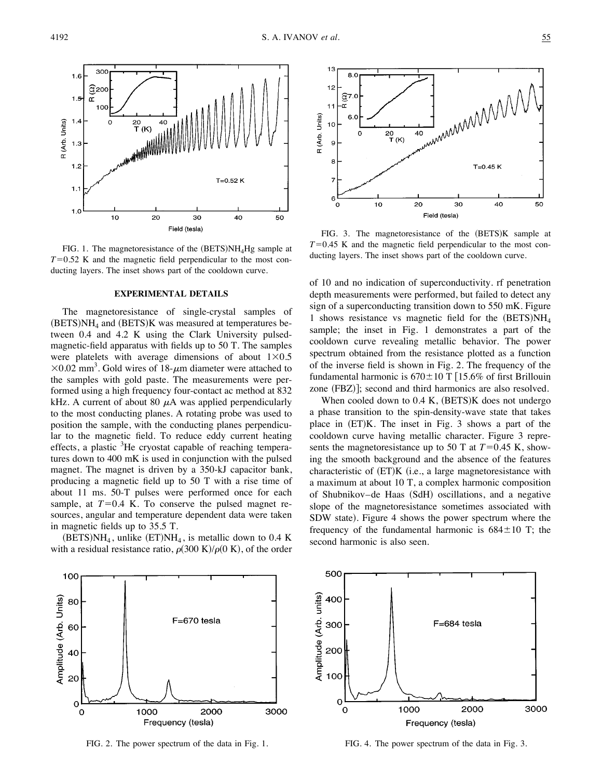

FIG. 1. The magnetoresistance of the  $(BETS)NH<sub>4</sub>Hg$  sample at  $T=0.52$  K and the magnetic field perpendicular to the most conducting layers. The inset shows part of the cooldown curve.

### **EXPERIMENTAL DETAILS**

The magnetoresistance of single-crystal samples of  $(BETS)NH<sub>4</sub>$  and  $(BETS)K$  was measured at temperatures between 0.4 and 4.2 K using the Clark University pulsedmagnetic-field apparatus with fields up to 50 T. The samples were platelets with average dimensions of about  $1\times0.5$  $\times 0.02$  mm<sup>3</sup>. Gold wires of 18- $\mu$ m diameter were attached to the samples with gold paste. The measurements were performed using a high frequency four-contact ac method at 832 kHz. A current of about 80  $\mu$ A was applied perpendicularly to the most conducting planes. A rotating probe was used to position the sample, with the conducting planes perpendicular to the magnetic field. To reduce eddy current heating effects, a plastic <sup>3</sup>He cryostat capable of reaching temperatures down to 400 mK is used in conjunction with the pulsed magnet. The magnet is driven by a 350-kJ capacitor bank, producing a magnetic field up to 50 T with a rise time of about 11 ms. 50-T pulses were performed once for each sample, at  $T=0.4$  K. To conserve the pulsed magnet resources, angular and temperature dependent data were taken in magnetic fields up to 35.5 T.

 $(BETS)NH<sub>4</sub>$ , unlike  $(ET)NH<sub>4</sub>$ , is metallic down to 0.4 K with a residual resistance ratio,  $\rho(300 \text{ K})/\rho(0 \text{ K})$ , of the order



FIG. 2. The power spectrum of the data in Fig. 1.



FIG. 3. The magnetoresistance of the  $(BETS)K$  sample at  $T=0.45$  K and the magnetic field perpendicular to the most conducting layers. The inset shows part of the cooldown curve.

of 10 and no indication of superconductivity. rf penetration depth measurements were performed, but failed to detect any sign of a superconducting transition down to 550 mK. Figure 1 shows resistance vs magnetic field for the  $(BETS)NH<sub>4</sub>$ sample; the inset in Fig. 1 demonstrates a part of the cooldown curve revealing metallic behavior. The power spectrum obtained from the resistance plotted as a function of the inverse field is shown in Fig. 2. The frequency of the fundamental harmonic is  $670\pm10$  T  $[15.6%$  of first Brillouin zone (FBZ)]; second and third harmonics are also resolved.

When cooled down to  $0.4$  K,  $(BETS)K$  does not undergo a phase transition to the spin-density-wave state that takes place in  $(ET)K$ . The inset in Fig. 3 shows a part of the cooldown curve having metallic character. Figure 3 represents the magnetoresistance up to 50 T at  $T=0.45$  K, showing the smooth background and the absence of the features characteristic of  $(ET)K$  (i.e., a large magnetoresistance with a maximum at about 10 T, a complex harmonic composition of Shubnikov–de Haas (SdH) oscillations, and a negative slope of the magnetoresistance sometimes associated with SDW state). Figure 4 shows the power spectrum where the frequency of the fundamental harmonic is  $684 \pm 10$  T; the second harmonic is also seen.



FIG. 4. The power spectrum of the data in Fig. 3.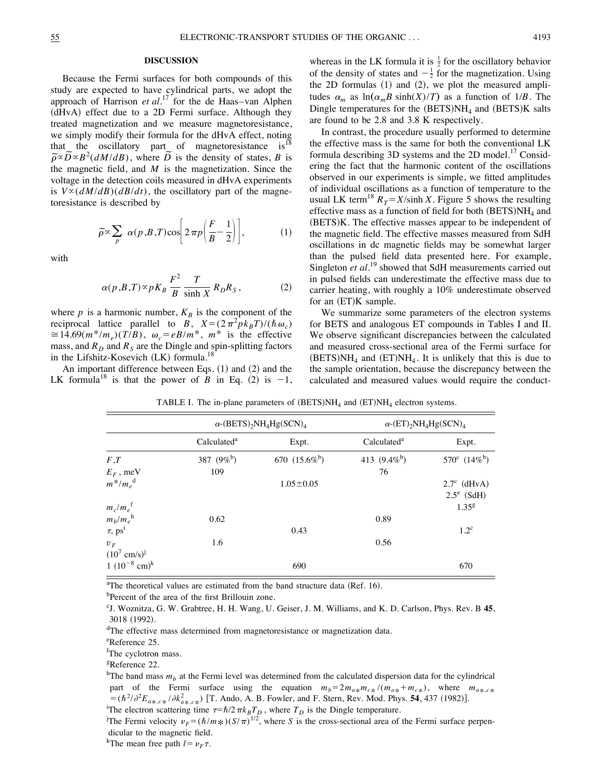# **DISCUSSION**

Because the Fermi surfaces for both compounds of this study are expected to have cylindrical parts, we adopt the approach of Harrison *et al.*<sup>17</sup> for the de Haas–van Alphen (dHvA) effect due to a 2D Fermi surface. Although they treated magnetization and we measure magnetoresistance, we simply modify their formula for the dHvA effect, noting that the oscillatory part of magnetoresistance  $is<sup>18</sup>$ that the oscillatory part of magnetoresistance is  $\tilde{\rho} \propto \tilde{D} \propto B^2 (dM/dB)$ , where  $\tilde{D}$  is the density of states, *B* is the magnetic field, and *M* is the magnetization. Since the voltage in the detection coils measured in dHvA experiments is  $V \propto (dM/dB)(dB/dt)$ , the oscillatory part of the magnetoresistance is described by

$$
\widetilde{\rho} \propto \sum_{p} \alpha(p, B, T) \cos \left[ 2 \pi p \left( \frac{F}{B} - \frac{1}{2} \right) \right], \tag{1}
$$

with

$$
\alpha(p,B,T) \propto pK_B \frac{F^2}{B} \frac{T}{\sinh X} R_D R_S, \qquad (2)
$$

where  $p$  is a harmonic number,  $K_B$  is the component of the reciprocal lattice parallel to *B*,  $X = (2\pi^2 p k_B T)/(\hbar \omega_c)$  $\approx 14.69(m^*/m_e)(T/B)$ ,  $\omega_c = eB/m^*$ ,  $m^*$  is the effective mass, and  $R_D$  and  $R_S$  are the Dingle and spin-splitting factors in the Lifshitz-Kosevich  $(LK)$  formula.<sup>18</sup>

An important difference between Eqs.  $(1)$  and  $(2)$  and the LK formula<sup>18</sup> is that the power of *B* in Eq. (2) is  $-1$ ,

whereas in the LK formula it is  $\frac{1}{2}$  for the oscillatory behavior of the density of states and  $-\frac{1}{2}$  for the magnetization. Using the 2D formulas  $(1)$  and  $(2)$ , we plot the measured amplitudes  $\alpha_m$  as  $\ln(\alpha_m B \sinh(X)/T)$  as a function of 1/*B*. The Dingle temperatures for the  $(BETS)NH<sub>4</sub>$  and  $(BETS)K$  salts are found to be 2.8 and 3.8 K respectively.

In contrast, the procedure usually performed to determine the effective mass is the same for both the conventional LK formula describing 3D systems and the 2D model.<sup>17</sup> Considering the fact that the harmonic content of the oscillations observed in our experiments is simple, we fitted amplitudes of individual oscillations as a function of temperature to the usual LK term<sup>18</sup>  $R_T = X/\sinh X$ . Figure 5 shows the resulting effective mass as a function of field for both  $(BETS)NH<sub>4</sub>$  and (BETS)K. The effective masses appear to be independent of the magnetic field. The effective masses measured from SdH oscillations in dc magnetic fields may be somewhat larger than the pulsed field data presented here. For example, Singleton *et al.*<sup>19</sup> showed that SdH measurements carried out in pulsed fields can underestimate the effective mass due to carrier heating, with roughly a 10% underestimate observed for an  $(ET)K$  sample.

We summarize some parameters of the electron systems for BETS and analogous ET compounds in Tables I and II. We observe significant discrepancies between the calculated and measured cross-sectional area of the Fermi surface for  $(BETS)NH<sub>4</sub>$  and  $(ET)NH<sub>4</sub>$ . It is unlikely that this is due to the sample orientation, because the discrepancy between the calculated and measured values would require the conduct-

|                              | $\alpha$ -(BETS) <sub>2</sub> NH <sub>4</sub> Hg(SCN) <sub>4</sub> |                 | $\alpha$ -(ET) <sub>2</sub> NH <sub>4</sub> Hg(SCN) <sub>4</sub> |                              |
|------------------------------|--------------------------------------------------------------------|-----------------|------------------------------------------------------------------|------------------------------|
|                              | Calculated <sup>a</sup>                                            | Expt.           | Calculated <sup>a</sup>                                          | Expt.                        |
| F, T                         | 387 $(9\%)$                                                        | 670 $(15.6\%)$  | 413 $(9.4\%)$                                                    | 570 $\rm{c}$ (14% $\rm{b}$ ) |
| $E_F$ , meV                  | 109                                                                |                 | 76                                                               |                              |
| $m^*/m_e^{\text{d}}$         |                                                                    | $1.05 \pm 0.05$ |                                                                  | $2.7^c$ (dHvA)               |
|                              |                                                                    |                 |                                                                  | $2.5^e$ (SdH)                |
| $m_c/m_e$ <sup>f</sup>       |                                                                    |                 |                                                                  | $1.35^{g}$                   |
| $m_b/m_e^{\text{h}}$         | 0.62                                                               |                 | 0.89                                                             |                              |
| $\tau$ , ps <sup>i</sup>     |                                                                    | 0.43            |                                                                  | $1.2^{\circ}$                |
| $U_F$                        | 1.6                                                                |                 | 0.56                                                             |                              |
| $(10^7 \text{ cm/s})^j$      |                                                                    |                 |                                                                  |                              |
| $1(10^{-8}$ cm) <sup>k</sup> |                                                                    | 690             |                                                                  | 670                          |

TABLE I. The in-plane parameters of  $(BETS)NH<sub>4</sub>$  and  $(ET)NH<sub>4</sub>$  electron systems.

<sup>a</sup>The theoretical values are estimated from the band structure data (Ref. 16).

<sup>b</sup>Percent of the area of the first Brillouin zone.

c J. Woznitza, G. W. Grabtree, H. H. Wang, U. Geiser, J. M. Williams, and K. D. Carlson, Phys. Rev. B **45**, 3018 (1992).

<sup>d</sup>The effective mass determined from magnetoresistance or magnetization data.

e Reference 25.

<sup>f</sup>The cyclotron mass.

<sup>g</sup>Reference 22.

<sup>h</sup>The band mass  $m_b$  at the Fermi level was determined from the calculated dispersion data for the cylindrical part of the Fermi surface using the equation  $m_b = 2m_{a*}m_{c*}/(m_{a*}+m_{c*})$ , where  $m_{a*},c_{c*}$ Figure 5. The Figure 3 strate is sing the equation  $m_b = 2m_{a*}m_{c*}/(m_{a*} + m_{c*})$ , where  $m_{a*},c* = (\hbar^2/\partial^2 E_{a*},c_*)/\partial k_{a*},c_*$  [T. Ando, A. B. Fowler, and F. Stern, Rev. Mod. Phys. **54**, 437 (1982)]. The electron scattering time  $\tau = \hbar/2\pi k_BT_D$ , where  $T_D$  is the Dingle temperature.

The Fermi velocity  $\nu_F = (\hbar/m*) (S/\pi)^{1/2}$ , where *S* is the cross-sectional area of the Fermi surface perpendicular to the magnetic field.

<sup>k</sup>The mean free path  $l = \nu_F \tau$ .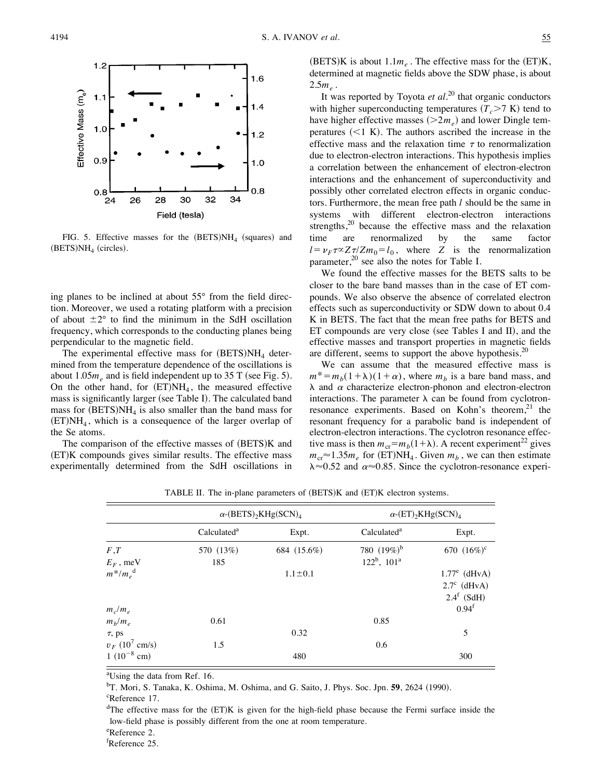

FIG. 5. Effective masses for the  $(BETS)NH<sub>4</sub>$  (squares) and  $(BETS)NH<sub>4</sub>$  (circles).

ing planes to be inclined at about 55° from the field direction. Moreover, we used a rotating platform with a precision of about  $\pm 2^{\circ}$  to find the minimum in the SdH oscillation frequency, which corresponds to the conducting planes being perpendicular to the magnetic field.

The experimental effective mass for  $(BETS)NH<sub>4</sub>$  determined from the temperature dependence of the oscillations is about  $1.05m<sub>e</sub>$  and is field independent up to 35 T (see Fig. 5). On the other hand, for  $(ET)NH<sub>4</sub>$ , the measured effective mass is significantly larger (see Table I). The calculated band mass for  $(BETS)NH<sub>4</sub>$  is also smaller than the band mass for  $(ET)NH<sub>4</sub>$ , which is a consequence of the larger overlap of the Se atoms.

The comparison of the effective masses of  $(BETS)K$  and (ET)K compounds gives similar results. The effective mass experimentally determined from the SdH oscillations in  $(BETS)K$  is about  $1.1m_e$ . The effective mass for the  $(ET)K$ , determined at magnetic fields above the SDW phase, is about  $2.5m<sub>e</sub>$ .

It was reported by Toyota *et al.*<sup>20</sup> that organic conductors with higher superconducting temperatures  $(T_c > 7 \text{ K})$  tend to have higher effective masses  $(>2m_e)$  and lower Dingle temperatures  $(<1 K)$ . The authors ascribed the increase in the effective mass and the relaxation time  $\tau$  to renormalization due to electron-electron interactions. This hypothesis implies a correlation between the enhancement of electron-electron interactions and the enhancement of superconductivity and possibly other correlated electron effects in organic conductors. Furthermore, the mean free path *l* should be the same in systems with different electron-electron interactions strengths, $2^0$  because the effective mass and the relaxation time are renormalized by the same factor  $l = \nu_F \tau \propto Z \tau / Zm_0 = l_0$ , where *Z* is the renormalization parameter,<sup>20</sup> see also the notes for Table I.

We found the effective masses for the BETS salts to be closer to the bare band masses than in the case of ET compounds. We also observe the absence of correlated electron effects such as superconductivity or SDW down to about 0.4 K in BETS. The fact that the mean free paths for BETS and ET compounds are very close (see Tables I and II), and the effective masses and transport properties in magnetic fields are different, seems to support the above hypothesis. $20$ 

We can assume that the measured effective mass is  $m^* = m_b(1+\lambda)(1+\alpha)$ , where  $m_b$  is a bare band mass, and  $\lambda$  and  $\alpha$  characterize electron-phonon and electron-electron interactions. The parameter  $\lambda$  can be found from cyclotronresonance experiments. Based on Kohn's theorem, $^{21}$  the resonant frequency for a parabolic band is independent of electron-electron interactions. The cyclotron resonance effective mass is then  $m_{cr} = m_b(1+\lambda)$ . A recent experiment<sup>22</sup> gives  $m_{cr} \approx 1.35 m_e$  for (ET)NH<sub>4</sub>. Given  $m_b$ , we can then estimate  $\lambda \approx 0.52$  and  $\alpha \approx 0.85$ . Since the cyclotron-resonance experi-

|                              | $\alpha$ -(BETS) <sub>2</sub> KHg(SCN) <sub>4</sub> |               | $\alpha$ -(ET) <sub>2</sub> KHg(SCN) <sub>4</sub> |                   |
|------------------------------|-----------------------------------------------------|---------------|---------------------------------------------------|-------------------|
|                              | Calculated <sup>a</sup>                             | Expt.         | Calculated <sup>a</sup>                           | Expt.             |
| F,T                          | 570 (13%)                                           | 684 (15.6%)   | 780 $(19\%)^b$                                    | 670 $(16\%)^c$    |
| $E_F$ , meV                  | 185                                                 |               | $122^b$ , $101^a$                                 |                   |
| $m^*/m_e^{\text{d}}$         |                                                     | $1.1 \pm 0.1$ |                                                   | $1.77^e$ (dHvA)   |
|                              |                                                     |               |                                                   | $2.7^c$ (dHvA)    |
|                              |                                                     |               |                                                   | $2.4^f$ (SdH)     |
| $m_c/m_e$                    |                                                     |               |                                                   | 0.94 <sup>f</sup> |
| $m_b/m_e$                    | 0.61                                                |               | 0.85                                              |                   |
| $\tau$ , ps                  |                                                     | 0.32          |                                                   | 5                 |
| $v_F$ (10 <sup>7</sup> cm/s) | 1.5                                                 |               | 0.6                                               |                   |
| $1(10^{-8}$ cm)              |                                                     | 480           |                                                   | 300               |

TABLE II. The in-plane parameters of (BETS)K and (ET)K electron systems.

<sup>a</sup>Using the data from Ref. 16.

<sup>b</sup>T. Mori, S. Tanaka, K. Oshima, M. Oshima, and G. Saito, J. Phys. Soc. Jpn. 59, 2624 (1990).

 $d$ The effective mass for the  $(ET)K$  is given for the high-field phase because the Fermi surface inside the low-field phase is possibly different from the one at room temperature.

e Reference 2.

f Reference 25.

<sup>&</sup>lt;sup>c</sup>Reference 17.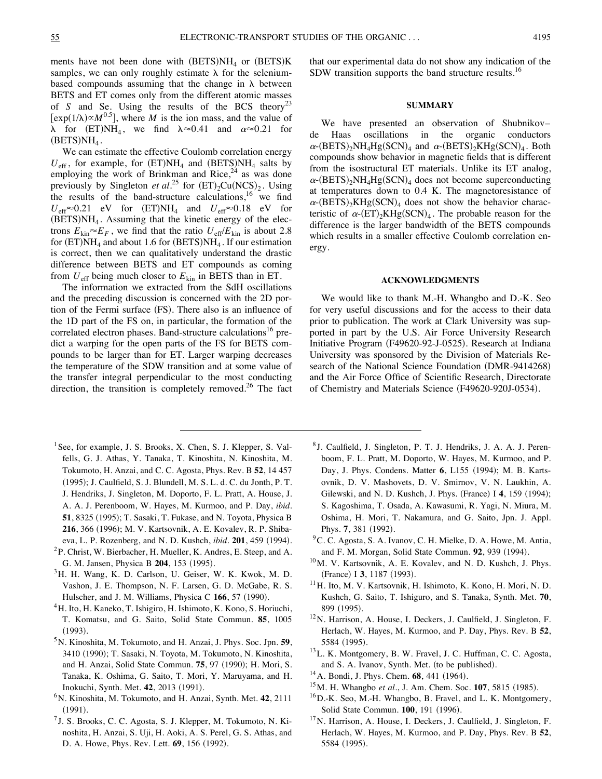ments have not been done with  $(BETS)NH_4$  or  $(BETS)K$ samples, we can only roughly estimate  $\lambda$  for the seleniumbased compounds assuming that the change in  $\lambda$  between BETS and ET comes only from the different atomic masses of *S* and *Se*. Using the results of the BCS theory<sup>23</sup>  $[exp(1/\lambda) \propto M^{0.5}]$ , where *M* is the ion mass, and the value of  $\lambda$  for (ET)NH<sub>4</sub>, we find  $\lambda \approx 0.41$  and  $\alpha \approx 0.21$  for  $(BETS)NH<sub>4</sub>$ .

We can estimate the effective Coulomb correlation energy  $U_{\text{eff}}$ , for example, for  $(ET)NH_4$  and  $(BETS)NH_4$  salts by employing the work of Brinkman and Rice, $24$  as was done previously by Singleton *et al.*<sup>25</sup> for  $(ET)_{2}Cu(NCS)_{2}$ . Using the results of the band-structure calculations, <sup>16</sup> we find  $U_{\text{eff}} \approx 0.21$  eV for (ET)NH<sub>4</sub> and  $U_{\text{eff}} \approx 0.18$  eV for  $(BETS)NH<sub>4</sub>$ . Assuming that the kinetic energy of the electrons  $E_{kin} \approx E_F$ , we find that the ratio  $U_{eff}/E_{kin}$  is about 2.8 for  $(ET)NH<sub>4</sub>$  and about 1.6 for  $(BETS)NH<sub>4</sub>$ . If our estimation is correct, then we can qualitatively understand the drastic difference between BETS and ET compounds as coming from  $U_{\text{eff}}$  being much closer to  $E_{\text{kin}}$  in BETS than in ET.

The information we extracted from the SdH oscillations and the preceding discussion is concerned with the 2D portion of the Fermi surface (FS). There also is an influence of the 1D part of the FS on, in particular, the formation of the correlated electron phases. Band-structure calculations<sup>16</sup> predict a warping for the open parts of the FS for BETS compounds to be larger than for ET. Larger warping decreases the temperature of the SDW transition and at some value of the transfer integral perpendicular to the most conducting direction, the transition is completely removed.<sup>26</sup> The fact that our experimental data do not show any indication of the SDW transition supports the band structure results.<sup>16</sup>

#### **SUMMARY**

We have presented an observation of Shubnikov– de Haas oscillations in the organic conductors  $\alpha$ -(BETS)<sub>2</sub>NH<sub>4</sub>Hg(SCN)<sub>4</sub> and  $\alpha$ -(BETS)<sub>2</sub>KHg(SCN)<sub>4</sub>. Both compounds show behavior in magnetic fields that is different from the isostructural ET materials. Unlike its ET analog,  $\alpha$ -(BETS)<sub>2</sub>NH<sub>4</sub>Hg(SCN)<sub>4</sub> does not become superconducting at temperatures down to 0.4 K. The magnetoresistance of  $\alpha$ -(BETS)<sub>2</sub>KHg(SCN)<sub>4</sub> does not show the behavior characteristic of  $\alpha$ -(ET)<sub>2</sub>KHg(SCN)<sub>4</sub>. The probable reason for the difference is the larger bandwidth of the BETS compounds which results in a smaller effective Coulomb correlation energy.

### **ACKNOWLEDGMENTS**

We would like to thank M.-H. Whangbo and D.-K. Seo for very useful discussions and for the access to their data prior to publication. The work at Clark University was supported in part by the U.S. Air Force University Research Initiative Program (F49620-92-J-0525). Research at Indiana University was sponsored by the Division of Materials Research of the National Science Foundation (DMR-9414268) and the Air Force Office of Scientific Research, Directorate of Chemistry and Materials Science (F49620-920J-0534).

- <sup>1</sup> See, for example, J. S. Brooks, X. Chen, S. J. Klepper, S. Valfells, G. J. Athas, Y. Tanaka, T. Kinoshita, N. Kinoshita, M. Tokumoto, H. Anzai, and C. C. Agosta, Phys. Rev. B **52**, 14 457 (1995); J. Caulfield, S. J. Blundell, M. S. L. d. C. du Jonth, P. T. J. Hendriks, J. Singleton, M. Doporto, F. L. Pratt, A. House, J. A. A. J. Perenboom, W. Hayes, M. Kurmoo, and P. Day, *ibid*. **51**, 8325 (1995); T. Sasaki, T. Fukase, and N. Toyota, Physica B 216, 366 (1996); M. V. Kartsovnik, A. E. Kovalev, R. P. Shibaeva, L. P. Rozenberg, and N. D. Kushch, *ibid*. **201**, 459 (1994).
- 2P. Christ, W. Bierbacher, H. Mueller, K. Andres, E. Steep, and A. G. M. Jansen, Physica B 204, 153 (1995).
- $3$ H. H. Wang, K. D. Carlson, U. Geiser, W. K. Kwok, M. D. Vashon, J. E. Thompson, N. F. Larsen, G. D. McGabe, R. S. Hulscher, and J. M. Williams, Physica C 166, 57 (1990).
- <sup>4</sup>H. Ito, H. Kaneko, T. Ishigiro, H. Ishimoto, K. Kono, S. Horiuchi, T. Komatsu, and G. Saito, Solid State Commun. **85**, 1005  $(1993).$
- 5N. Kinoshita, M. Tokumoto, and H. Anzai, J. Phys. Soc. Jpn. **59**, 3410 (1990); T. Sasaki, N. Toyota, M. Tokumoto, N. Kinoshita, and H. Anzai, Solid State Commun. **75**, 97 (1990); H. Mori, S. Tanaka, K. Oshima, G. Saito, T. Mori, Y. Maruyama, and H. Inokuchi, Synth. Met. 42, 2013 (1991).
- 6N. Kinoshita, M. Tokumoto, and H. Anzai, Synth. Met. **42**, 2111  $(1991).$
- <sup>7</sup> J. S. Brooks, C. C. Agosta, S. J. Klepper, M. Tokumoto, N. Kinoshita, H. Anzai, S. Uji, H. Aoki, A. S. Perel, G. S. Athas, and D. A. Howe, Phys. Rev. Lett. **69**, 156 (1992).
- <sup>8</sup> J. Caulfield, J. Singleton, P. T. J. Hendriks, J. A. A. J. Perenboom, F. L. Pratt, M. Doporto, W. Hayes, M. Kurmoo, and P. Day, J. Phys. Condens. Matter 6, L155 (1994); M. B. Kartsovnik, D. V. Mashovets, D. V. Smirnov, V. N. Laukhin, A. Gilewski, and N. D. Kushch, J. Phys. (France) I 4, 159 (1994); S. Kagoshima, T. Osada, A. Kawasumi, R. Yagi, N. Miura, M. Oshima, H. Mori, T. Nakamura, and G. Saito, Jpn. J. Appl. Phys. **7**, 381 (1992).
- $9^9$ C. C. Agosta, S. A. Ivanov, C. H. Mielke, D. A. Howe, M. Antia, and F. M. Morgan, Solid State Commun. **92**, 939 (1994).
- 10M. V. Kartsovnik, A. E. Kovalev, and N. D. Kushch, J. Phys. (France) I 3, 1187 (1993).
- <sup>11</sup>H. Ito, M. V. Kartsovnik, H. Ishimoto, K. Kono, H. Mori, N. D. Kushch, G. Saito, T. Ishiguro, and S. Tanaka, Synth. Met. **70**, 899 (1995).
- 12N. Harrison, A. House, I. Deckers, J. Caulfield, J. Singleton, F. Herlach, W. Hayes, M. Kurmoo, and P. Day, Phys. Rev. B **52**, 5584 (1995).
- <sup>13</sup>L. K. Montgomery, B. W. Fravel, J. C. Huffman, C. C. Agosta, and S. A. Ivanov, Synth. Met. (to be published).
- <sup>14</sup> A. Bondi, J. Phys. Chem. **68**, 441 (1964).
- <sup>15</sup>M. H. Whangbo *et al.*, J. Am. Chem. Soc. **107**, 5815 (1985).
- 16D.-K. Seo, M.-H. Whangbo, B. Fravel, and L. K. Montgomery, Solid State Commun. **100**, 191 (1996).
- <sup>17</sup>N. Harrison, A. House, I. Deckers, J. Caulfield, J. Singleton, F. Herlach, W. Hayes, M. Kurmoo, and P. Day, Phys. Rev. B **52**, 5584 (1995).